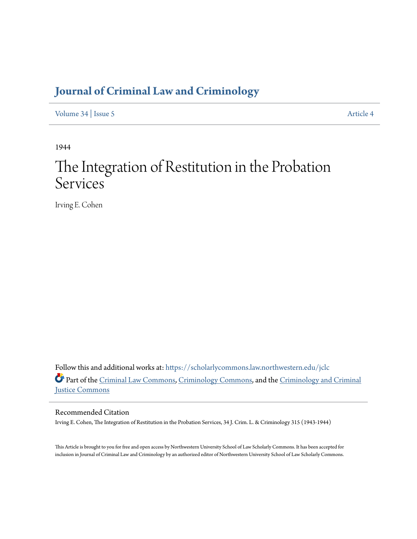## **[Journal of Criminal Law and Criminology](https://scholarlycommons.law.northwestern.edu/jclc?utm_source=scholarlycommons.law.northwestern.edu%2Fjclc%2Fvol34%2Fiss5%2F4&utm_medium=PDF&utm_campaign=PDFCoverPages)**

[Volume 34](https://scholarlycommons.law.northwestern.edu/jclc/vol34?utm_source=scholarlycommons.law.northwestern.edu%2Fjclc%2Fvol34%2Fiss5%2F4&utm_medium=PDF&utm_campaign=PDFCoverPages) | [Issue 5](https://scholarlycommons.law.northwestern.edu/jclc/vol34/iss5?utm_source=scholarlycommons.law.northwestern.edu%2Fjclc%2Fvol34%2Fiss5%2F4&utm_medium=PDF&utm_campaign=PDFCoverPages) [Article 4](https://scholarlycommons.law.northwestern.edu/jclc/vol34/iss5/4?utm_source=scholarlycommons.law.northwestern.edu%2Fjclc%2Fvol34%2Fiss5%2F4&utm_medium=PDF&utm_campaign=PDFCoverPages)

1944

## The Integration of Restitution in the Probation **Services**

Irving E. Cohen

Follow this and additional works at: [https://scholarlycommons.law.northwestern.edu/jclc](https://scholarlycommons.law.northwestern.edu/jclc?utm_source=scholarlycommons.law.northwestern.edu%2Fjclc%2Fvol34%2Fiss5%2F4&utm_medium=PDF&utm_campaign=PDFCoverPages) Part of the [Criminal Law Commons](http://network.bepress.com/hgg/discipline/912?utm_source=scholarlycommons.law.northwestern.edu%2Fjclc%2Fvol34%2Fiss5%2F4&utm_medium=PDF&utm_campaign=PDFCoverPages), [Criminology Commons](http://network.bepress.com/hgg/discipline/417?utm_source=scholarlycommons.law.northwestern.edu%2Fjclc%2Fvol34%2Fiss5%2F4&utm_medium=PDF&utm_campaign=PDFCoverPages), and the [Criminology and Criminal](http://network.bepress.com/hgg/discipline/367?utm_source=scholarlycommons.law.northwestern.edu%2Fjclc%2Fvol34%2Fiss5%2F4&utm_medium=PDF&utm_campaign=PDFCoverPages) [Justice Commons](http://network.bepress.com/hgg/discipline/367?utm_source=scholarlycommons.law.northwestern.edu%2Fjclc%2Fvol34%2Fiss5%2F4&utm_medium=PDF&utm_campaign=PDFCoverPages)

Recommended Citation

Irving E. Cohen, The Integration of Restitution in the Probation Services, 34 J. Crim. L. & Criminology 315 (1943-1944)

This Article is brought to you for free and open access by Northwestern University School of Law Scholarly Commons. It has been accepted for inclusion in Journal of Criminal Law and Criminology by an authorized editor of Northwestern University School of Law Scholarly Commons.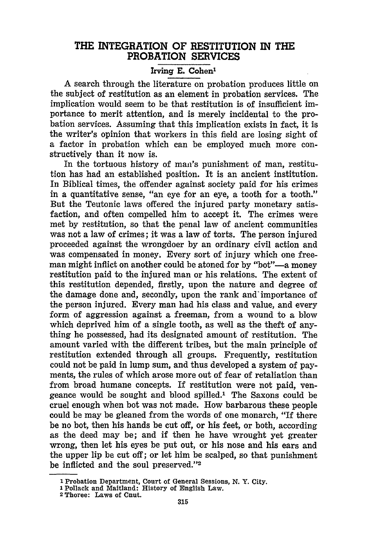## **THE INTEGRATION OF RESTITUTION IN THE PROBATION SERVICES**

## Irving **E.** Cohen<sup>1</sup>

A search through the literature on probation produces little on the subject of restitution as an element in probation services. The implication would seem to be that restitution is of insufficient importance to merit attention, and is merely incidental to the probation services. Assuming that this implication exists in fact, it is the writer's opinion that workers in this field are losing sight of a factor in probation which can be employed much more constructively than it now is.

In the tortuous history of man's punishment of man, restitution has had an established position. It is an ancient institution. In Biblical times, the offender against society paid for his crimes in a quantitative sense, "an eye for an eye, a tooth for a tooth." But the Teutonic laws offered the injured party monetary satisfaction, and often compelled him to accept it. The crimes were met **by** restitution, so that the penal law of ancient communities was not a law of crimes; it was a law of torts. The person injured proceeded against the wrongdoer **by** an ordinary civil action and was compensated in money. Every sort of injury which one freeman might inflict on another could be atoned for **by** "bot"-a money restitution paid to the injured man or his relations. The extent of this restitution depended, firstly, upon the nature and degree of the damage done and, secondly, upon the rank and importance of the person injured. Every man had his class and value, and every form of aggression against a freeman, from a wound to a blow which deprived him of a single tooth, as well as the theft of anything he possessed, had its designated amount of restitution. The amount varied with the different tribes, but the main principle of restitution extended through all groups. Frequently, restitution could not be paid in lump sum, and thus developed a system of payments, the rules of which arose more out of fear of retaliation than from broad humane concepts. If restitution were not paid, vengeance would be sought and blood spilled.1 The Saxons could be cruel enough when bot was not made. How barbarous these people could be may be gleaned from the words of one monarch, "If there be no bot, then his hands be cut off, or his feet, or both, according as the deed may be; and if then he have wrought yet greater wrong, then let his eyes be put out, or his nose and his ears and the upper lip be cut off; or let him be scalped, so that punishment be inflicted and the soul preserved."<sup>2</sup>

**<sup>1</sup>**Probation Department, Court of General Sessions, **N.** Y. City.

**<sup>1</sup>** Pollack and Maitland: History of English Law. **2** Thoree: Laws of Cnut.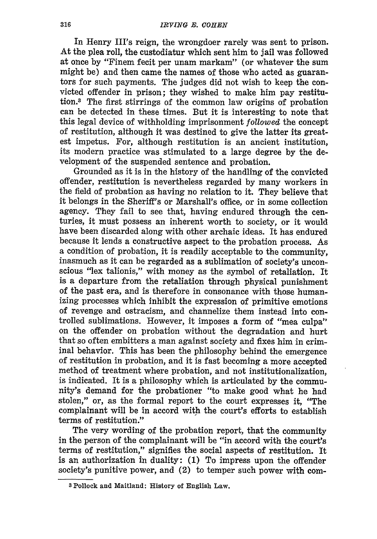In Henry III's reign, the wrongdoer rarely was sent to prison. At the plea roll, the custodiatur which sent him to jail was followed at once by "Finem fecit per unam markam" (or whatever the sum might be) and then came the names of those who acted as guarantors for such payments. The judges did not wish to keep the convicted offender in prison; they wished to make him pay restitution.3 The first stirrings of the common law origins of probation can be detected in these times. But it is interesting to note that this legal device of withholding imprisonment *followed* the concept of restitution, although it was destined to give the latter its greatest impetus. For, although restitution is an ancient institution, its modern practice was stimulated to a large degree by the development **of** the suspended sentence and probation.

Grounded as it is in the history of the handling of the convicted offender, restitution is nevertheless regarded by many workers in the field of probation as having no relation to it. They believe that it belongs in the Sheriff's or Marshall's office, or in some collection agency. They fail to see that, having endured through the centuries, it must possess an inherent worth to society, or it would have been discarded along with other archaic ideas. It has endured because it lends a constructive aspect to the probation process. As a condition of probation, it is readily acceptable to the community, inasmuch as it can be regarded as a sublimation of society's unconscious "lex talionis," with money as the symbol of retaliation. It is a departure from the retaliation through physical punishment of the past era, and is therefore in consonance with those humanizing processes which inhibit the expression of primitive emotions of revenge and ostracism, and channelize them instead into controlled sublimations. However, it imposes a form of "mea culpa" on the offender on probation without the degradation and hurt that so often embitters a man against society and fixes him in criminal behavior. This has been the philosophy behind the emergence of restitution in probation, and it is fast becoming a more accepted method of treatment where probation, and not institutionalization, is indicated. It is a philosophy which is articulated by the community's demand for the probationer "to make good what he had stolen," or, as the formal report to the court expresses it, "The complainant will be in accord with the court's efforts to establish terms of restitution."

The very wording of the probation report, that the community in the person of the complainant will be "in accord with the court's terms of restitution," signifies the social aspects of restitution. It is an authorization in duality: (1) To impress upon the offender society's punitive power, and (2) to temper such power with com-

**<sup>3</sup>** Pollock and Maitland: History of English Law.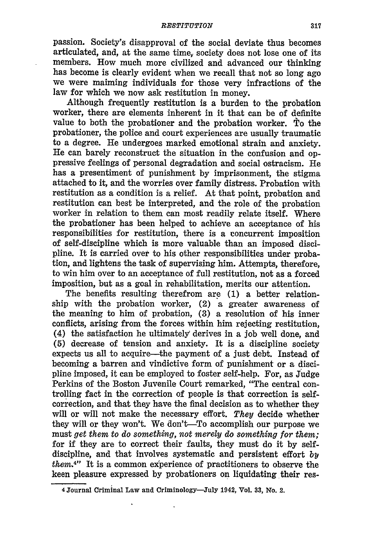passion. Society's disapproval of the social deviate thus becomes articulated, and, at the same time, society does not lose one of its members. How much more civilized and advanced our thinking has become is clearly evident when we recall that not so long ago we were maiming individuals for those very infractions of the law for which we now ask restitution in money.

Although frequently restitution is a burden to the probation worker, there are elements inherent in it that can be of definite value to both the probationer and the probation worker. To the probationer, the police and court experiences are usually traumatic to a degree. He undergoes marked emotional strain and anxiety. He can barely reconstruct the situation in the confusion and oppressive feelings of personal degradation and social ostracism. He has a presentiment of punishment by imprisonment, the stigma attached to it, and the worries over family distress. Probation with restitution as a condition is a relief. At that point, probation and restitution can best be interpreted, and the role of the probation worker in relation to them can most readily relate itself. Where the probationer has been helped to achieve an acceptance of his responsibilities for restitution, there is a concurrent imposition of self-discipline which is more valuable than an imposed discipline. It is carried over to his other responsibilities under probation, and lightens the task of supervising him. Attempts, therefore, to win him over to an acceptance of full restitution, not as a forced imposition, but as a goal in rehabilitation, merits our attention.

The benefits resulting therefrom are (1) a better relationship with the probation worker, (2) a greater awareness of the meaning to him of probation, **(3)** a resolution of his inner conflicts, arising from the forces within him rejecting restitution, (4) the satisfaction he ultimately derives in a job well done, and **(5)** decrease of tension and anxiety. It is a discipline society expects us all to acquire-the payment of a just debt. Instead of becoming a barren and vindictive form of punishment or a discipline imposed, it can be employed to foster self-help. For, as Judge Perkins of the Boston Juvenile Court remarked, "The central controlling fact in the correction of people is that correction is selfcorrection, and that they have the final decision as to whether they will or will not make the necessary effort. *They* decide whether they will or they won't. We don't-To accomplish our purpose we must *get them to do something, not merely do something for them;* for if they are to correct their faults, they must do it by selfdiscipline, and that involves systematic and persistent effort **by** them.<sup>4"</sup> It is a common experience of practitioners to observe the keen pleasure expressed by probationers on liquidating their res-

**<sup>4</sup>**Journal Criminal Law and Criminology-July 1942, Vol. **33,** No. 2.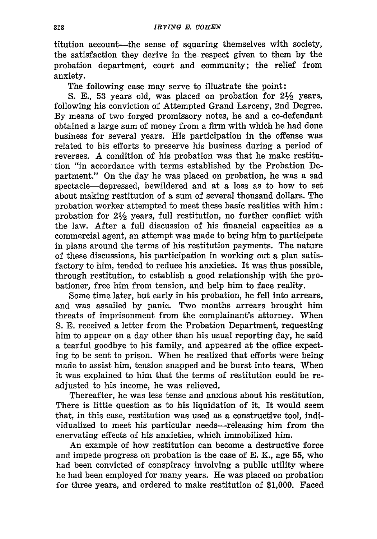titution account-the sense of squaring themselves with society, the satisfaction they derive in the respect given to them by the probation department, court and community; the relief from anxiety.

The following case may serve to illustrate the point:

S. E., 53 years old, was placed on probation for  $2\frac{1}{2}$  years, following his conviction of Attempted Grand Larceny, 2nd Degree. By means of two forged promissory notes, he and a co-defendant obtained a large sum of money from a firm with which he had done business for several years. His participation in the offense was related to his efforts to preserve his business during a period of reverses. A condition of his probation was that he make restitution "in accordance with terms established by the Probation Department." On the day he was placed on probation, he was a sad spectacle-depressed, bewildered and at a loss as to how to set about making restitution of a sum of several thousand dollars. The probation worker attempted to meet these basic realities with him: probation for  $2\frac{1}{2}$  years, full restitution, no further conflict with the law. After a full discussion of his financial capacities as a commercial agent, an attempt was made to bring him to participate in plans around the terms of his restitution payments. The nature of these discussions, his participation in working out a plan satisfactory to him, tended to reduce his anxieties. It was thus possible, through restitution, to establish a good relationship with the probationer, free him from tension, and help him to face reality.

Some time later, but early in his probation, he fell into arrears, and was assailed by panic. Two months arrears brought him threats of imprisonment from the complainant's attorney. When S. E. received a letter from the Probation Department, requesting him to appear on a day other than his usual reporting day, he said a tearful goodbye to his family, and appeared at the office expecting to be sent to prison. When he realized that efforts were being made to assist him, tension snapped and he burst into tears. When it was explained to him that the terms of restitution could be readjusted to his income, he was relieved.

Thereafter, he was less tense and anxious about his restitution. There is little question as to his liquidation of it. It would seem that, in this case, restitution was used as a constructive tool, individualized to meet his particular needs—releasing him from the enervating effects of his anxieties, which immobilized him.

An example of how restitution can become a destructive force and impede progress on probation is the case of E. K., age **55,** who had been convicted of conspiracy involving a public utility where he had been employed for many years. He was placed on probation for three years, and ordered to make restitution of \$1,000. Faced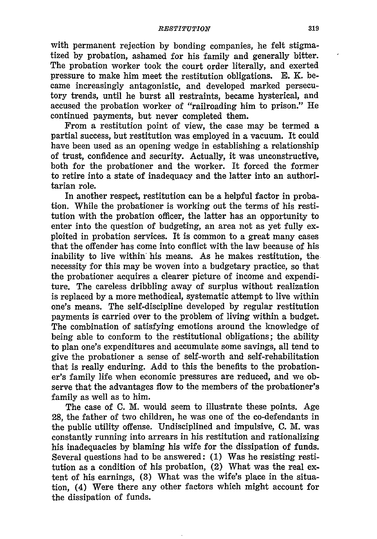with permanent rejection by bonding companies, he felt stigmatized by probation, ashamed for his family and generally bitter. The probation worker took the court order literally, and exerted pressure to make him meet the restitution obligations. E. K. became increasingly antagonistic, and developed marked persecutory trends, until he burst all restraints, became hysterical, and accused the probation worker of "railroading him to prison." He continued payments, but never completed them.

From a restitution point of view, the case may be termed a partial success, but restitution was employed in a vacuum. It could have been used as an opening wedge in establishing a relationship of trust, confidence and security. Actually, it was unconstructive, both for the probationer and the worker. It forced the former to retire into a state of inadequacy and the latter into an authoritarian role.

In another respect, restitution can be a helpful factor in probation. While the probationer is working out the terms of his restitution with the probation officer, the latter has an opportunity to enter into the question of budgeting, an area not as yet fully exploited in probation services. It is common to a great many cases that the offender has come into conflict with the law because of his inability to live within his means. As he makes restitution, the necessity for this may be woven into a budgetary practice, so that the probationer acquires a clearer picture of income and expenditure. The careless dribbling away of surplus without realization is replaced by a more methodical, systematic attempt to live within one's means. The self-discipline developed by regular restitution payments is carried over to the problem of living within a budget. The combination of satisfying emotions around the knowledge of being able to conform to the restitutional obligations; the ability to plan one's expenditures and accumulate some savings, all tend to give the probationer a sense of self-worth and self-rehabilitation that is really enduring. Add to this the benefits to the probationer's family life when economic pressures are reduced, and we observe that the advantages flow to the members of the probationer's family as well as to him.

The case of C. M. would seem to illustrate these points. Age 28, the father of two children, he was one of the co-defendants in the public utility offense. Undisciplined and impulsive, **C.** M. was constantly running into arrears in his restitution and rationalizing his inadequacies by blaming his wife for the dissipation of funds. Several questions had to be answered: (1) Was he resisting restitution as a condition of his probation, (2) What was the real extent of his earnings, (3) What was the wife's place in the situation, (4) Were there any other factors which might account for the dissipation of funds.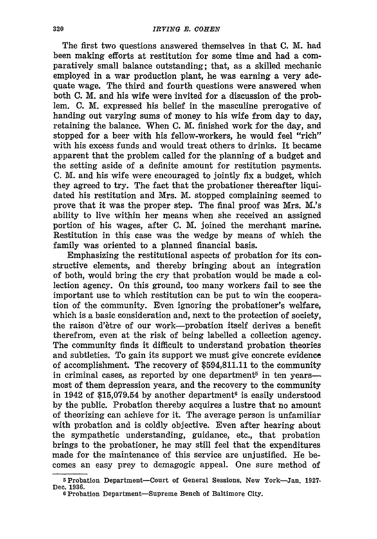The first two questions answered themselves in that **C.** M. had been making efforts at restitution for some time and had a comparatively small balance outstanding; that, as a skilled mechanic employed in a war production plant, he was earning a very adequate wage. The third and fourth questions were answered when both C. M. and his wife were invited for a discussion of the problem. C. M. expressed his belief in the masculine prerogative of handing out varying sums of money to his wife from day to day, retaining the balance. When C. M. finished work for the day, and stopped for a beer with his fellow-workers, he would feel "rich" with his excess funds and would treat others to drinks. It became apparent that the problem called for the planning of a budget and the setting aside of a definite amount for restitution payments. C. M. and his wife were encouraged to jointly fix a budget, which they agreed to try. The fact that the probationer thereafter liquidated his restitution and Mrs. M. stopped complaining seemed to prove that it was the proper step. The final proof was Mrs. M.'s ability to live within her means when she received an assigned portion of his wages, after C. M. joined the merchant marine. Restitution in this case was the wedge by means of which the family was oriented to a planned financial basis.

Emphasizing the restitutional aspects of probation for its constructive elements, and thereby bringing about an integration of both, would bring the cry that probation would be made a collection agency. On this ground, too many workers fail to see the important use to which restitution can be put to win the cooperation of the community. Even ignoring the probationer's welfare, which is a basic consideration and, next to the protection of society, the raison d'ètre of our work---probation itself derives a benefit therefrom, even at the risk of being labelled a collection agency. The community finds it difficult to understand probation theories and subtleties. To gain its support we must give concrete evidence of accomplishment. The recovery of \$594,811.11 to the community in criminal cases, as reported by one department<sup> $5$ </sup> in ten yearsmost of them depression years, and the recovery to the community in 1942 of \$15,079.54 by another department<sup>6</sup> is easily understood by the public. Probation thereby acquires a lustre that no amount of theorizing can achieve for it. The average person is unfamiliar with probation and is coldly objective. Even after hearing about the sympathetic understanding, guidance, etc., that probation brings to the probationer, he may still feel that the expenditures made for the maintenance of this service are unjustified. He becomes an easy prey to demagogic appeal. One sure method of

**<sup>5</sup>** Probation Department-Court of General Sessions, New York-Jan. **1927-** Dec. **1936.**

**<sup>6</sup>** Probation Department-Supreme Bench of Baltimore City.